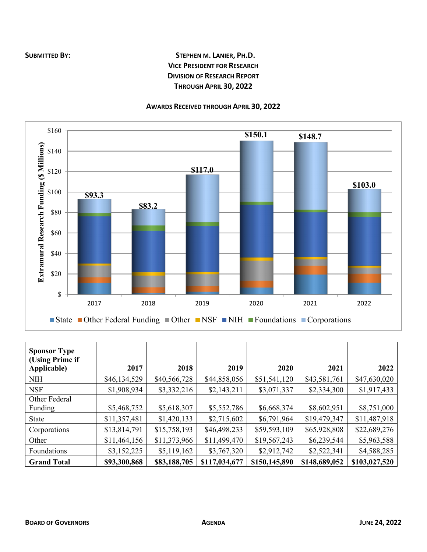## **SUBMITTED BY: STEPHEN M. LANIER, PH.D. VICE PRESIDENT FOR RESEARCH DIVISION OF RESEARCH REPORT THROUGH APRIL 30, 2022**

## **AWARDS RECEIVED THROUGH APRIL 30, 2022**



| <b>Sponsor Type</b><br>(Using Prime if<br>Applicable) | 2017         | 2018         | 2019          | 2020          | 2021          | 2022          |
|-------------------------------------------------------|--------------|--------------|---------------|---------------|---------------|---------------|
| <b>NIH</b>                                            | \$46,134,529 | \$40,566,728 | \$44,858,056  | \$51,541,120  | \$43,581,761  | \$47,630,020  |
| <b>NSF</b>                                            | \$1,908,934  | \$3,332,216  | \$2,143,211   | \$3,071,337   | \$2,334,300   | \$1,917,433   |
| Other Federal                                         |              |              |               |               |               |               |
| Funding                                               | \$5,468,752  | \$5,618,307  | \$5,552,786   | \$6,668,374   | \$8,602,951   | \$8,751,000   |
| <b>State</b>                                          | \$11,357,481 | \$1,420,133  | \$2,715,602   | \$6,791,964   | \$19,479,347  | \$11,487,918  |
| Corporations                                          | \$13,814,791 | \$15,758,193 | \$46,498,233  | \$59,593,109  | \$65,928,808  | \$22,689,276  |
| Other                                                 | \$11,464,156 | \$11,373,966 | \$11,499,470  | \$19,567,243  | \$6,239,544   | \$5,963,588   |
| Foundations                                           | \$3,152,225  | \$5,119,162  | \$3,767,320   | \$2,912,742   | \$2,522,341   | \$4,588,285   |
| <b>Grand Total</b>                                    | \$93,300,868 | \$83,188,705 | \$117,034,677 | \$150,145,890 | \$148,689,052 | \$103,027,520 |